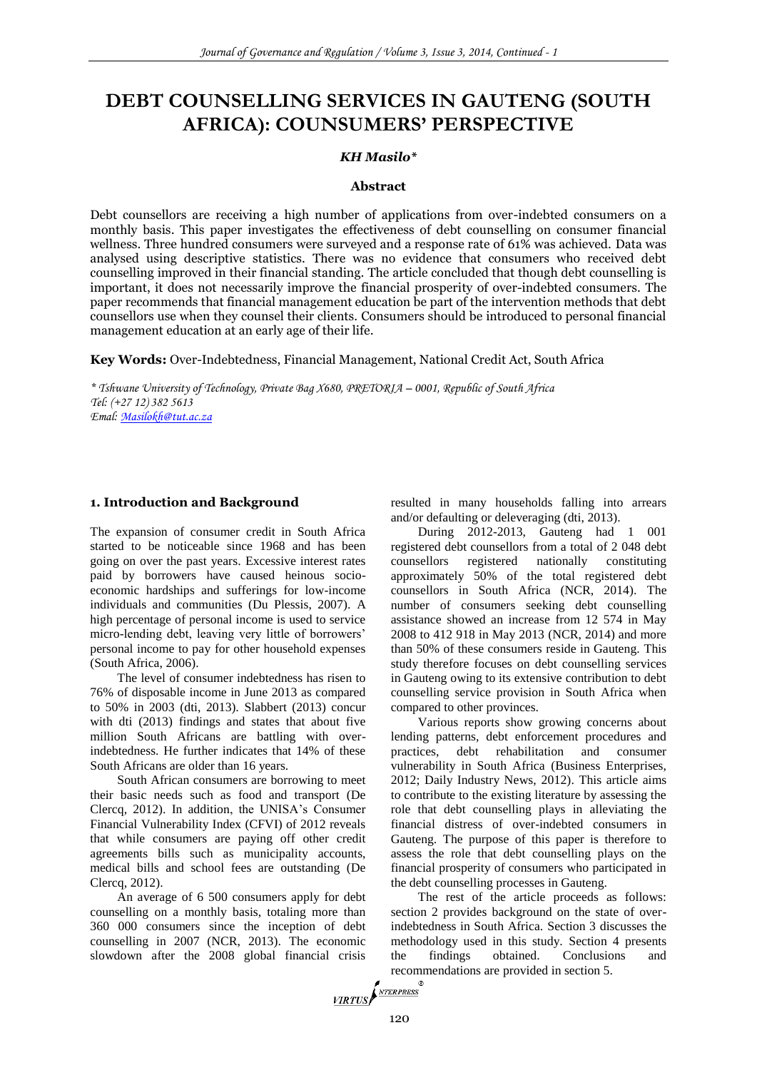# **DEBT COUNSELLING SERVICES IN GAUTENG (SOUTH AFRICA): COUNSUMERS' PERSPECTIVE**

#### *KH Masilo\**

#### **Abstract**

Debt counsellors are receiving a high number of applications from over-indebted consumers on a monthly basis. This paper investigates the effectiveness of debt counselling on consumer financial wellness. Three hundred consumers were surveyed and a response rate of 61% was achieved. Data was analysed using descriptive statistics. There was no evidence that consumers who received debt counselling improved in their financial standing. The article concluded that though debt counselling is important, it does not necessarily improve the financial prosperity of over-indebted consumers. The paper recommends that financial management education be part of the intervention methods that debt counsellors use when they counsel their clients. Consumers should be introduced to personal financial management education at an early age of their life.

**Key Words:** Over-Indebtedness, Financial Management, National Credit Act, South Africa

*\* Tshwane University of Technology, Private Bag X680, PRETORIA – 0001, Republic of South Africa Tel: (+27 12) 382 5613 Emal[: Masilokh@tut.ac.za](mailto:Masilokh@tut.ac.za)*

#### **1. Introduction and Background**

The expansion of consumer credit in South Africa started to be noticeable since 1968 and has been going on over the past years. Excessive interest rates paid by borrowers have caused heinous socioeconomic hardships and sufferings for low-income individuals and communities (Du Plessis, 2007). A high percentage of personal income is used to service micro-lending debt, leaving very little of borrowers' personal income to pay for other household expenses (South Africa, 2006).

The level of consumer indebtedness has risen to 76% of disposable income in June 2013 as compared to 50% in 2003 (dti, 2013). Slabbert (2013) concur with dti (2013) findings and states that about five million South Africans are battling with overindebtedness. He further indicates that 14% of these South Africans are older than 16 years.

South African consumers are borrowing to meet their basic needs such as food and transport (De Clercq, 2012). In addition, the UNISA's Consumer Financial Vulnerability Index (CFVI) of 2012 reveals that while consumers are paying off other credit agreements bills such as municipality accounts, medical bills and school fees are outstanding (De Clercq, 2012).

An average of 6 500 consumers apply for debt counselling on a monthly basis, totaling more than 360 000 consumers since the inception of debt counselling in 2007 (NCR, 2013). The economic slowdown after the 2008 global financial crisis

resulted in many households falling into arrears and/or defaulting or deleveraging (dti, 2013).

During 2012-2013, Gauteng had 1 001 registered debt counsellors from a total of 2 048 debt counsellors registered nationally constituting approximately 50% of the total registered debt counsellors in South Africa (NCR, 2014). The number of consumers seeking debt counselling assistance showed an increase from 12 574 in May 2008 to 412 918 in May 2013 (NCR, 2014) and more than 50% of these consumers reside in Gauteng. This study therefore focuses on debt counselling services in Gauteng owing to its extensive contribution to debt counselling service provision in South Africa when compared to other provinces.

Various reports show growing concerns about lending patterns, debt enforcement procedures and practices, debt rehabilitation and consumer vulnerability in South Africa (Business Enterprises, 2012; Daily Industry News, 2012). This article aims to contribute to the existing literature by assessing the role that debt counselling plays in alleviating the financial distress of over-indebted consumers in Gauteng. The purpose of this paper is therefore to assess the role that debt counselling plays on the financial prosperity of consumers who participated in the debt counselling processes in Gauteng.

The rest of the article proceeds as follows: section 2 provides background on the state of overindebtedness in South Africa. Section 3 discusses the methodology used in this study. Section 4 presents the findings obtained. Conclusions and recommendations are provided in section 5.<br> $\sqrt{\frac{VIRTUS}{T}}$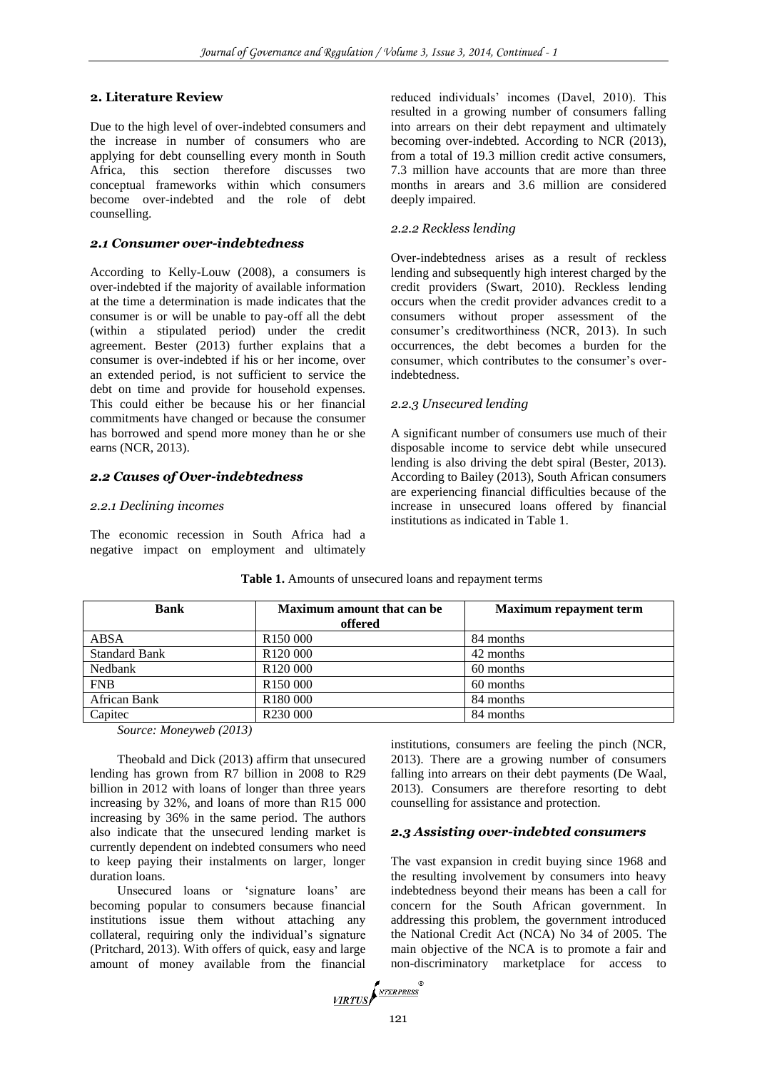# **2. Literature Review**

Due to the high level of over-indebted consumers and the increase in number of consumers who are applying for debt counselling every month in South Africa, this section therefore discusses two conceptual frameworks within which consumers become over-indebted and the role of debt counselling.

#### *2.1 Consumer over-indebtedness*

According to Kelly-Louw (2008), a consumers is over-indebted if the majority of available information at the time a determination is made indicates that the consumer is or will be unable to pay-off all the debt (within a stipulated period) under the credit agreement. Bester (2013) further explains that a consumer is over-indebted if his or her income, over an extended period, is not sufficient to service the debt on time and provide for household expenses. This could either be because his or her financial commitments have changed or because the consumer has borrowed and spend more money than he or she earns (NCR, 2013).

#### *2.2 Causes of Over-indebtedness*

#### *2.2.1 Declining incomes*

The economic recession in South Africa had a negative impact on employment and ultimately

reduced individuals' incomes (Davel, 2010). This resulted in a growing number of consumers falling into arrears on their debt repayment and ultimately becoming over-indebted. According to NCR (2013), from a total of 19.3 million credit active consumers, 7.3 million have accounts that are more than three months in arears and 3.6 million are considered deeply impaired.

# *2.2.2 Reckless lending*

Over-indebtedness arises as a result of reckless lending and subsequently high interest charged by the credit providers (Swart, 2010). Reckless lending occurs when the credit provider advances credit to a consumers without proper assessment of the consumer's creditworthiness (NCR, 2013). In such occurrences, the debt becomes a burden for the consumer, which contributes to the consumer's overindebtedness.

# *2.2.3 Unsecured lending*

A significant number of consumers use much of their disposable income to service debt while unsecured lending is also driving the debt spiral (Bester, 2013). According to Bailey (2013), South African consumers are experiencing financial difficulties because of the increase in unsecured loans offered by financial institutions as indicated in Table 1.

| <b>Bank</b>          | <b>Maximum amount that can be</b><br>offered | <b>Maximum repayment term</b> |
|----------------------|----------------------------------------------|-------------------------------|
| <b>ABSA</b>          | R <sub>150</sub> 000                         | 84 months                     |
| <b>Standard Bank</b> | R <sub>120</sub> 000                         | 42 months                     |
| Nedbank              | R <sub>120</sub> 000                         | 60 months                     |
| <b>FNB</b>           | R <sub>150</sub> 000                         | 60 months                     |
| African Bank         | R <sub>180</sub> 000                         | 84 months                     |
| Capitec              | R <sub>230</sub> 000                         | 84 months                     |

#### **Table 1.** Amounts of unsecured loans and repayment terms

*Source: Moneyweb (2013)*

Theobald and Dick (2013) affirm that unsecured lending has grown from R7 billion in 2008 to R29 billion in 2012 with loans of longer than three years increasing by 32%, and loans of more than R15 000 increasing by 36% in the same period. The authors also indicate that the unsecured lending market is currently dependent on indebted consumers who need to keep paying their instalments on larger, longer duration loans.

Unsecured loans or 'signature loans' are becoming popular to consumers because financial institutions issue them without attaching any collateral, requiring only the individual's signature (Pritchard, 2013). With offers of quick, easy and large amount of money available from the financial

institutions, consumers are feeling the pinch (NCR, 2013). There are a growing number of consumers falling into arrears on their debt payments (De Waal, 2013). Consumers are therefore resorting to debt counselling for assistance and protection.

# *2.3 Assisting over-indebted consumers*

The vast expansion in credit buying since 1968 and the resulting involvement by consumers into heavy indebtedness beyond their means has been a call for concern for the South African government. In addressing this problem, the government introduced the National Credit Act (NCA) No 34 of 2005. The main objective of the NCA is to promote a fair and non-discriminatory marketplace for access to

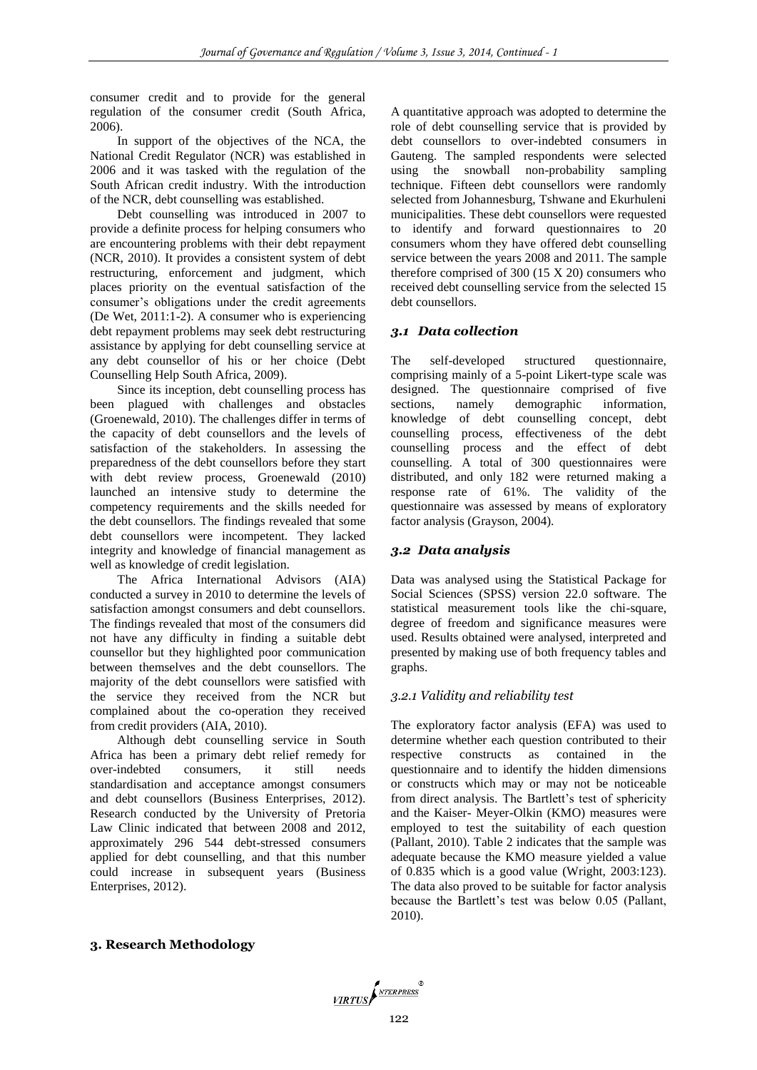consumer credit and to provide for the general regulation of the consumer credit (South Africa, 2006).

In support of the objectives of the NCA, the National Credit Regulator (NCR) was established in 2006 and it was tasked with the regulation of the South African credit industry. With the introduction of the NCR, debt counselling was established.

Debt counselling was introduced in 2007 to provide a definite process for helping consumers who are encountering problems with their debt repayment (NCR, 2010). It provides a consistent system of debt restructuring, enforcement and judgment, which places priority on the eventual satisfaction of the consumer's obligations under the credit agreements (De Wet, 2011:1-2). A consumer who is experiencing debt repayment problems may seek debt restructuring assistance by applying for debt counselling service at any debt counsellor of his or her choice (Debt Counselling Help South Africa, 2009).

Since its inception, debt counselling process has been plagued with challenges and obstacles (Groenewald, 2010). The challenges differ in terms of the capacity of debt counsellors and the levels of satisfaction of the stakeholders. In assessing the preparedness of the debt counsellors before they start with debt review process, Groenewald (2010) launched an intensive study to determine the competency requirements and the skills needed for the debt counsellors. The findings revealed that some debt counsellors were incompetent. They lacked integrity and knowledge of financial management as well as knowledge of credit legislation.

The Africa International Advisors (AIA) conducted a survey in 2010 to determine the levels of satisfaction amongst consumers and debt counsellors. The findings revealed that most of the consumers did not have any difficulty in finding a suitable debt counsellor but they highlighted poor communication between themselves and the debt counsellors. The majority of the debt counsellors were satisfied with the service they received from the NCR but complained about the co-operation they received from credit providers (AIA, 2010).

Although debt counselling service in South Africa has been a primary debt relief remedy for over-indebted consumers, it still needs standardisation and acceptance amongst consumers and debt counsellors (Business Enterprises, 2012). Research conducted by the University of Pretoria Law Clinic indicated that between 2008 and 2012, approximately 296 544 debt-stressed consumers applied for debt counselling, and that this number could increase in subsequent years (Business Enterprises, 2012).

A quantitative approach was adopted to determine the role of debt counselling service that is provided by debt counsellors to over-indebted consumers in Gauteng. The sampled respondents were selected using the snowball non-probability sampling technique. Fifteen debt counsellors were randomly selected from Johannesburg, Tshwane and Ekurhuleni municipalities. These debt counsellors were requested to identify and forward questionnaires to 20 consumers whom they have offered debt counselling service between the years 2008 and 2011. The sample therefore comprised of 300 (15 X 20) consumers who received debt counselling service from the selected 15 debt counsellors.

# *3.1 Data collection*

The self-developed structured questionnaire, comprising mainly of a 5-point Likert-type scale was designed. The questionnaire comprised of five sections, namely demographic information, knowledge of debt counselling concept, debt counselling process, effectiveness of the debt counselling process and the effect of debt counselling. A total of 300 questionnaires were distributed, and only 182 were returned making a response rate of 61%. The validity of the questionnaire was assessed by means of exploratory factor analysis (Grayson, 2004).

# *3.2 Data analysis*

Data was analysed using the Statistical Package for Social Sciences (SPSS) version 22.0 software. The statistical measurement tools like the chi-square, degree of freedom and significance measures were used. Results obtained were analysed, interpreted and presented by making use of both frequency tables and graphs.

# *3.2.1 Validity and reliability test*

The exploratory factor analysis (EFA) was used to determine whether each question contributed to their respective constructs as contained in the questionnaire and to identify the hidden dimensions or constructs which may or may not be noticeable from direct analysis. The Bartlett's test of sphericity and the Kaiser- Meyer-Olkin (KMO) measures were employed to test the suitability of each question (Pallant, 2010). Table 2 indicates that the sample was adequate because the KMO measure yielded a value of 0.835 which is a good value (Wright, 2003:123). The data also proved to be suitable for factor analysis because the Bartlett's test was below 0.05 (Pallant, 2010).

#### **3. Research Methodology**

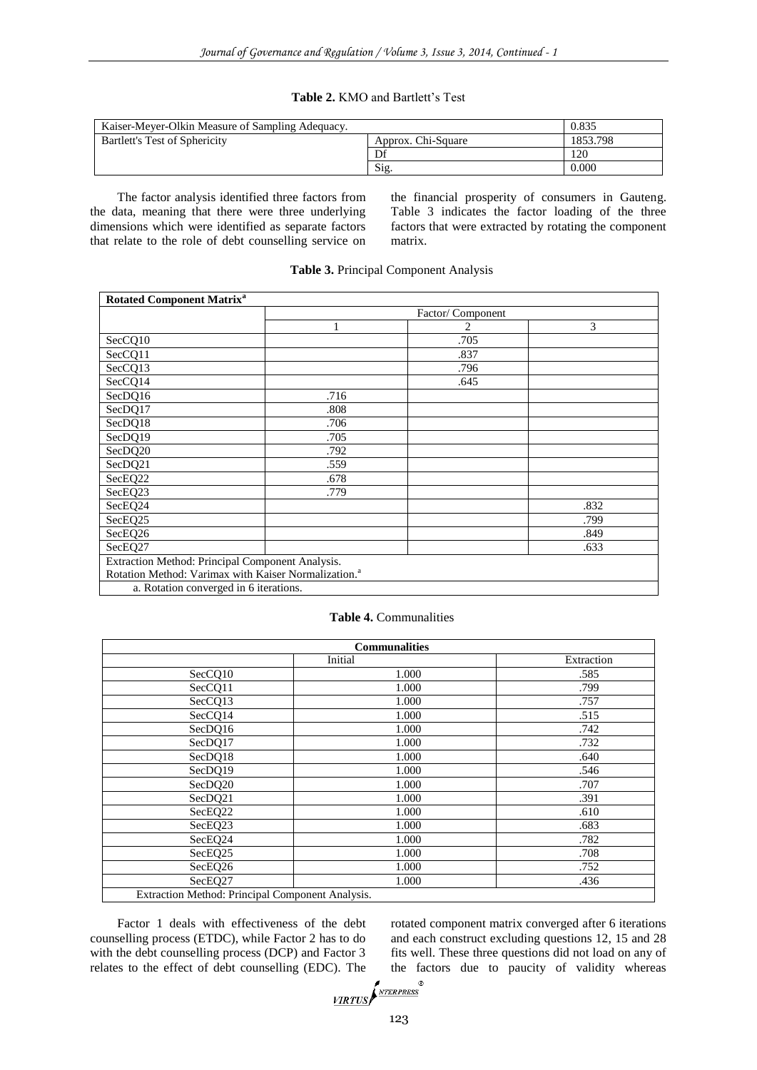#### **Table 2.** KMO and Bartlett's Test

| Kaiser-Mever-Olkin Measure of Sampling Adequacy. | 0.835              |          |
|--------------------------------------------------|--------------------|----------|
| Bartlett's Test of Sphericity                    | Approx. Chi-Square | 1853.798 |
|                                                  |                    | 120      |
|                                                  | Sig.               | 0.000    |

The factor analysis identified three factors from the data, meaning that there were three underlying dimensions which were identified as separate factors that relate to the role of debt counselling service on the financial prosperity of consumers in Gauteng. Table 3 indicates the factor loading of the three factors that were extracted by rotating the component matrix.

| <b>Rotated Component Matrix<sup>a</sup></b>                      |      |                  |      |  |  |  |  |  |
|------------------------------------------------------------------|------|------------------|------|--|--|--|--|--|
|                                                                  |      | Factor/Component |      |  |  |  |  |  |
|                                                                  |      | 2                | 3    |  |  |  |  |  |
| SecCQ10                                                          |      | .705             |      |  |  |  |  |  |
| SecCQ11                                                          |      | .837             |      |  |  |  |  |  |
| SecCQ13                                                          |      | .796             |      |  |  |  |  |  |
| SecCQ14                                                          |      | .645             |      |  |  |  |  |  |
| SecDQ16                                                          | .716 |                  |      |  |  |  |  |  |
| SecDQ17                                                          | .808 |                  |      |  |  |  |  |  |
| SecDQ18                                                          | .706 |                  |      |  |  |  |  |  |
| SecDQ19                                                          | .705 |                  |      |  |  |  |  |  |
| SecDQ20                                                          | .792 |                  |      |  |  |  |  |  |
| SecDQ21                                                          | .559 |                  |      |  |  |  |  |  |
| SecEQ22                                                          | .678 |                  |      |  |  |  |  |  |
| SecEQ23                                                          | .779 |                  |      |  |  |  |  |  |
| SecEQ24                                                          |      |                  | .832 |  |  |  |  |  |
| SecEQ25                                                          |      |                  | .799 |  |  |  |  |  |
| SecEQ26                                                          |      |                  | .849 |  |  |  |  |  |
| SecEQ27                                                          |      |                  | .633 |  |  |  |  |  |
| Extraction Method: Principal Component Analysis.                 |      |                  |      |  |  |  |  |  |
| Rotation Method: Varimax with Kaiser Normalization. <sup>a</sup> |      |                  |      |  |  |  |  |  |
| a. Rotation converged in 6 iterations.                           |      |                  |      |  |  |  |  |  |

## **Table 3.** Principal Component Analysis

#### **Table 4.** Communalities

| <b>Communalities</b>                             |         |            |  |  |  |  |  |  |  |
|--------------------------------------------------|---------|------------|--|--|--|--|--|--|--|
|                                                  | Initial | Extraction |  |  |  |  |  |  |  |
| SecCQ10                                          | 1.000   | .585       |  |  |  |  |  |  |  |
| SecCQ11                                          | 1.000   | .799       |  |  |  |  |  |  |  |
| SecCQ13                                          | 1.000   | .757       |  |  |  |  |  |  |  |
| SecCQ14                                          | 1.000   | .515       |  |  |  |  |  |  |  |
| SecDQ16                                          | 1.000   | .742       |  |  |  |  |  |  |  |
| SecDQ17                                          | 1.000   | .732       |  |  |  |  |  |  |  |
| SecDQ18                                          | 1.000   | .640       |  |  |  |  |  |  |  |
| SecDQ19                                          | 1.000   | .546       |  |  |  |  |  |  |  |
| SecDQ20                                          | 1.000   | .707       |  |  |  |  |  |  |  |
| SecDQ21                                          | 1.000   | .391       |  |  |  |  |  |  |  |
| SecEQ22                                          | 1.000   | .610       |  |  |  |  |  |  |  |
| SecEQ23                                          | 1.000   | .683       |  |  |  |  |  |  |  |
| SecEQ24                                          | 1.000   | .782       |  |  |  |  |  |  |  |
| SecEQ25                                          | 1.000   | .708       |  |  |  |  |  |  |  |
| SecEQ26                                          | 1.000   | .752       |  |  |  |  |  |  |  |
| SecEQ27                                          | 1.000   | .436       |  |  |  |  |  |  |  |
| Extraction Method: Principal Component Analysis. |         |            |  |  |  |  |  |  |  |

Factor 1 deals with effectiveness of the debt counselling process (ETDC), while Factor 2 has to do with the debt counselling process (DCP) and Factor 3 relates to the effect of debt counselling (EDC). The rotated component matrix converged after 6 iterations and each construct excluding questions 12, 15 and 28 fits well. These three questions did not load on any of the factors due to paucity of validity whereas

$$
\underbrace{\textit{VIRTUS}}\!\!\!\int^{\textit{NTERPRESS}}\!\!\!\!
$$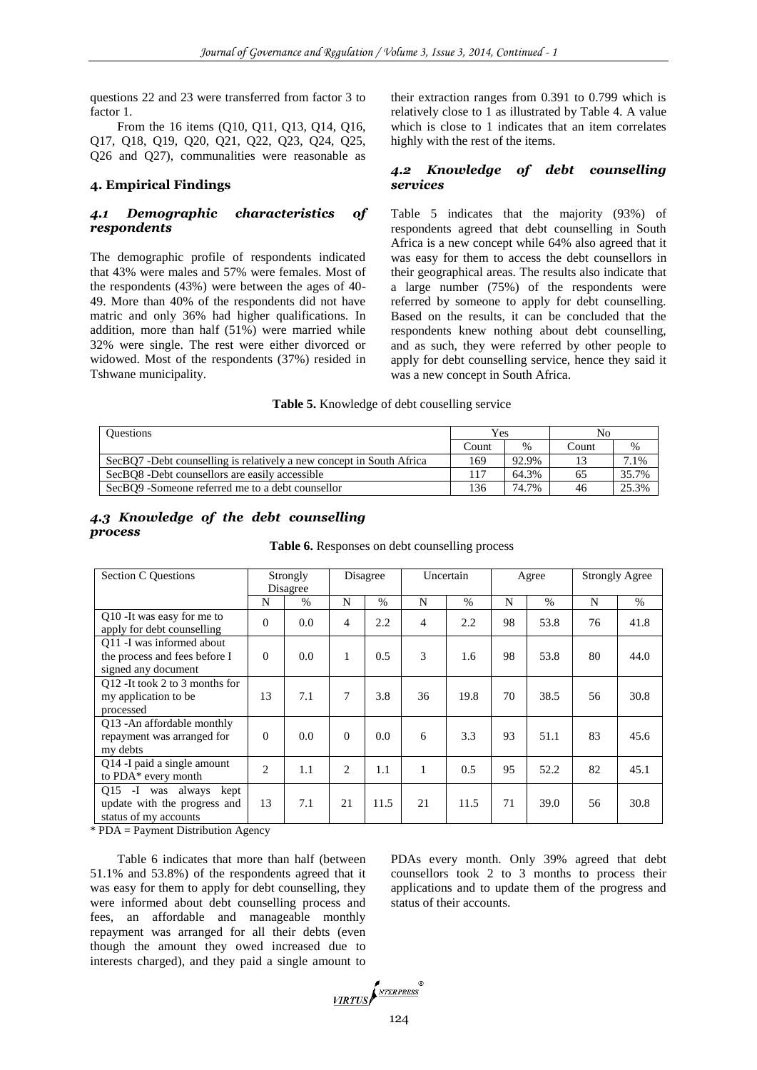questions 22 and 23 were transferred from factor 3 to factor 1.

From the 16 items (Q10, Q11, Q13, Q14, Q16, Q17, Q18, Q19, Q20, Q21, Q22, Q23, Q24, Q25, Q26 and Q27), communalities were reasonable as

#### **4. Empirical Findings**

## *4.1 Demographic characteristics of respondents*

The demographic profile of respondents indicated that 43% were males and 57% were females. Most of the respondents (43%) were between the ages of 40- 49. More than 40% of the respondents did not have matric and only 36% had higher qualifications. In addition, more than half (51%) were married while 32% were single. The rest were either divorced or widowed. Most of the respondents (37%) resided in Tshwane municipality.

their extraction ranges from 0.391 to 0.799 which is relatively close to 1 as illustrated by Table 4. A value which is close to 1 indicates that an item correlates highly with the rest of the items.

## *4.2 Knowledge of debt counselling services*

Table 5 indicates that the majority (93%) of respondents agreed that debt counselling in South Africa is a new concept while 64% also agreed that it was easy for them to access the debt counsellors in their geographical areas. The results also indicate that a large number (75%) of the respondents were referred by someone to apply for debt counselling. Based on the results, it can be concluded that the respondents knew nothing about debt counselling, and as such, they were referred by other people to apply for debt counselling service, hence they said it was a new concept in South Africa.

#### **Table 5.** Knowledge of debt couselling service

| <b>Ouestions</b>                                                     | Yes   |       | No    |       |  |
|----------------------------------------------------------------------|-------|-------|-------|-------|--|
|                                                                      | Count | $\%$  | Count | $\%$  |  |
| SecBQ7 -Debt counselling is relatively a new concept in South Africa | 169   | 92.9% |       | 7.1%  |  |
| SecBO8 -Debt counsellors are easily accessible                       | 117   | 64.3% | 65    | 35.7% |  |
| SecBQ9 -Someone referred me to a debt counsellor                     | 136   | 74.7% | 46    | 25.3% |  |

*4.3 Knowledge of the debt counselling process*

| <b>Section C Questions</b>                                                         |                | Strongly<br>Disagree<br>Disagree |          |               | Uncertain |      | Agree |      | <b>Strongly Agree</b> |      |
|------------------------------------------------------------------------------------|----------------|----------------------------------|----------|---------------|-----------|------|-------|------|-----------------------|------|
|                                                                                    | N              | $\%$                             | N        | $\frac{0}{6}$ | N         | $\%$ | N     | $\%$ | N                     | $\%$ |
| Q10 - It was easy for me to<br>apply for debt counselling                          | $\Omega$       | 0.0                              | 4        | 2.2           | 4         | 2.2  | 98    | 53.8 | 76                    | 41.8 |
| Q11 -I was informed about<br>the process and fees before I<br>signed any document  | $\Omega$       | 0.0                              | 1        | 0.5           | 3         | 1.6  | 98    | 53.8 | 80                    | 44.0 |
| Q12 - It took 2 to 3 months for<br>my application to be.<br>processed              | 13             | 7.1                              | 7        | 3.8           | 36        | 19.8 | 70    | 38.5 | 56                    | 30.8 |
| Q13 - An affordable monthly<br>repayment was arranged for<br>my debts              | $\Omega$       | 0.0                              | $\Omega$ | 0.0           | 6         | 3.3  | 93    | 51.1 | 83                    | 45.6 |
| Q14 -I paid a single amount<br>to PDA* every month                                 | $\overline{c}$ | 1.1                              | 2        | 1.1           | 1         | 0.5  | 95    | 52.2 | 82                    | 45.1 |
| Q15 -I was always<br>kept<br>update with the progress and<br>status of my accounts | 13             | 7.1                              | 21       | 11.5          | 21        | 11.5 | 71    | 39.0 | 56                    | 30.8 |

#### **Table 6.** Responses on debt counselling process

\* PDA = Payment Distribution Agency

Table 6 indicates that more than half (between 51.1% and 53.8%) of the respondents agreed that it was easy for them to apply for debt counselling, they were informed about debt counselling process and fees, an affordable and manageable monthly repayment was arranged for all their debts (even though the amount they owed increased due to interests charged), and they paid a single amount to

PDAs every month. Only 39% agreed that debt counsellors took 2 to 3 months to process their applications and to update them of the progress and status of their accounts.

VIRTUS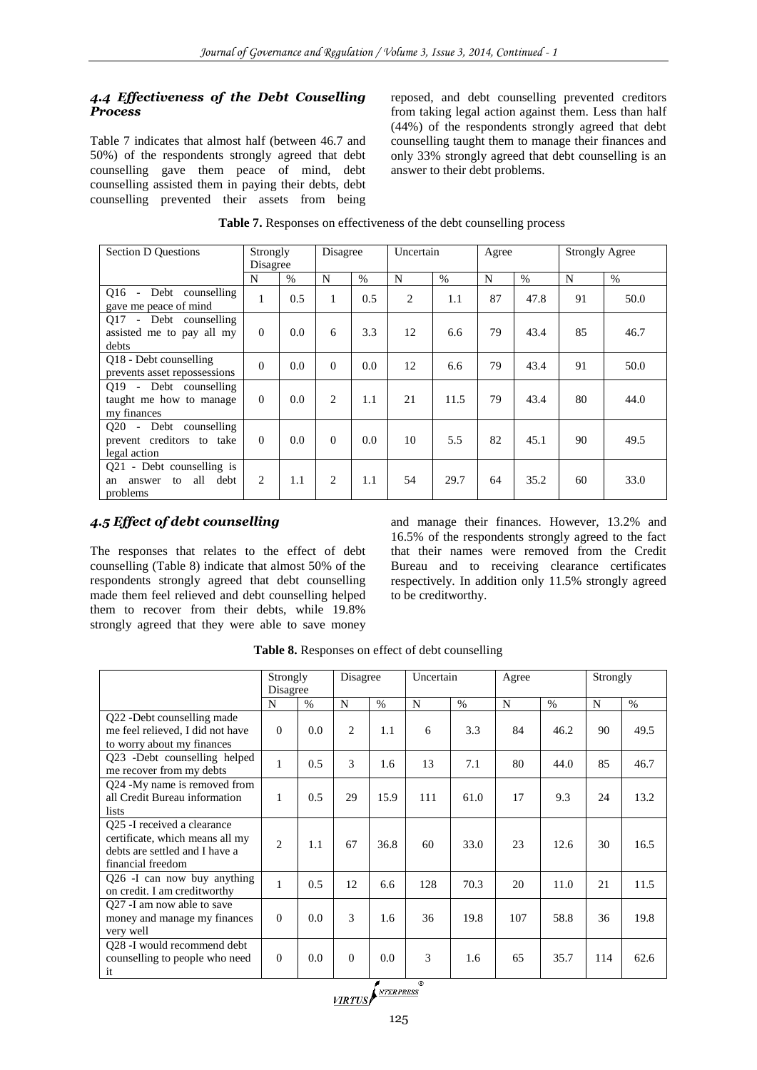# *4.4 Effectiveness of the Debt Couselling Process*

Table 7 indicates that almost half (between 46.7 and 50%) of the respondents strongly agreed that debt counselling gave them peace of mind, debt counselling assisted them in paying their debts, debt counselling prevented their assets from being

reposed, and debt counselling prevented creditors from taking legal action against them. Less than half (44%) of the respondents strongly agreed that debt counselling taught them to manage their finances and only 33% strongly agreed that debt counselling is an answer to their debt problems.

| <b>Table 7.</b> Responses on effectiveness of the debt counselling process |  |
|----------------------------------------------------------------------------|--|
|----------------------------------------------------------------------------|--|

| <b>Section D Questions</b>                                                      | Strongly<br>Disagree |      | Disagree       |      | Uncertain |      | Agree |      | <b>Strongly Agree</b> |      |
|---------------------------------------------------------------------------------|----------------------|------|----------------|------|-----------|------|-------|------|-----------------------|------|
|                                                                                 | N                    | $\%$ | N              | $\%$ | N         | $\%$ | N     | $\%$ | N                     | $\%$ |
| Debt counselling<br>$016 -$<br>gave me peace of mind                            | 1                    | 0.5  | 1              | 0.5  | 2         | 1.1  | 87    | 47.8 | 91                    | 50.0 |
| O17 - Debt counselling<br>assisted me to pay all my<br>debts                    | $\Omega$             | 0.0  | 6              | 3.3  | 12        | 6.6  | 79    | 43.4 | 85                    | 46.7 |
| Q18 - Debt counselling<br>prevents asset repossessions                          | $\Omega$             | 0.0  | $\theta$       | 0.0  | 12        | 6.6  | 79    | 43.4 | 91                    | 50.0 |
| 019 - Debt counselling<br>taught me how to manage<br>my finances                | $\Omega$             | 0.0  | 2              | 1.1  | 21        | 11.5 | 79    | 43.4 | 80                    | 44.0 |
| O <sub>20</sub> - Debt counselling<br>prevent creditors to take<br>legal action | $\Omega$             | 0.0  | $\Omega$       | 0.0  | 10        | 5.5  | 82    | 45.1 | 90                    | 49.5 |
| Q21 - Debt counselling is<br>all<br>debt<br>to<br>answer<br>an<br>problems      | 2                    | 1.1  | $\overline{c}$ | 1.1  | 54        | 29.7 | 64    | 35.2 | 60                    | 33.0 |

# *4.5 Effect of debt counselling*

The responses that relates to the effect of debt counselling (Table 8) indicate that almost 50% of the respondents strongly agreed that debt counselling made them feel relieved and debt counselling helped them to recover from their debts, while 19.8% strongly agreed that they were able to save money

and manage their finances. However, 13.2% and 16.5% of the respondents strongly agreed to the fact that their names were removed from the Credit Bureau and to receiving clearance certificates respectively. In addition only 11.5% strongly agreed to be creditworthy.

|                                                                                                                        | Strongly<br>Disagree |      | Disagree       |      | Uncertain |      | Agree |      | Strongly |      |
|------------------------------------------------------------------------------------------------------------------------|----------------------|------|----------------|------|-----------|------|-------|------|----------|------|
|                                                                                                                        | N                    | $\%$ | N              | $\%$ | N         | $\%$ | N     | $\%$ | N        | $\%$ |
| Q22 - Debt counselling made<br>me feel relieved. I did not have<br>to worry about my finances                          | $\Omega$             | 0.0  | $\overline{2}$ | 1.1  | 6         | 3.3  | 84    | 46.2 | 90       | 49.5 |
| Q23 -Debt counselling helped<br>me recover from my debts                                                               | 1                    | 0.5  | 3              | 1.6  | 13        | 7.1  | 80    | 44.0 | 85       | 46.7 |
| Q24 -My name is removed from<br>all Credit Bureau information<br>lists                                                 | 1                    | 0.5  | 29             | 15.9 | 111       | 61.0 | 17    | 9.3  | 24       | 13.2 |
| Q25 - I received a clearance<br>certificate, which means all my<br>debts are settled and I have a<br>financial freedom | $\overline{2}$       | 1.1  | 67             | 36.8 | 60        | 33.0 | 23    | 12.6 | 30       | 16.5 |
| Q26 -I can now buy anything<br>on credit. I am creditworthy                                                            | 1                    | 0.5  | 12             | 6.6  | 128       | 70.3 | 20    | 11.0 | 21       | 11.5 |
| Q27 -I am now able to save<br>money and manage my finances<br>very well                                                | $\Omega$             | 0.0  | 3              | 1.6  | 36        | 19.8 | 107   | 58.8 | 36       | 19.8 |
| Q28 -I would recommend debt<br>counselling to people who need<br>it                                                    | $\Omega$             | 0.0  | $\Omega$       | 0.0  | 3         | 1.6  | 65    | 35.7 | 114      | 62.6 |

**Table 8.** Responses on effect of debt counselling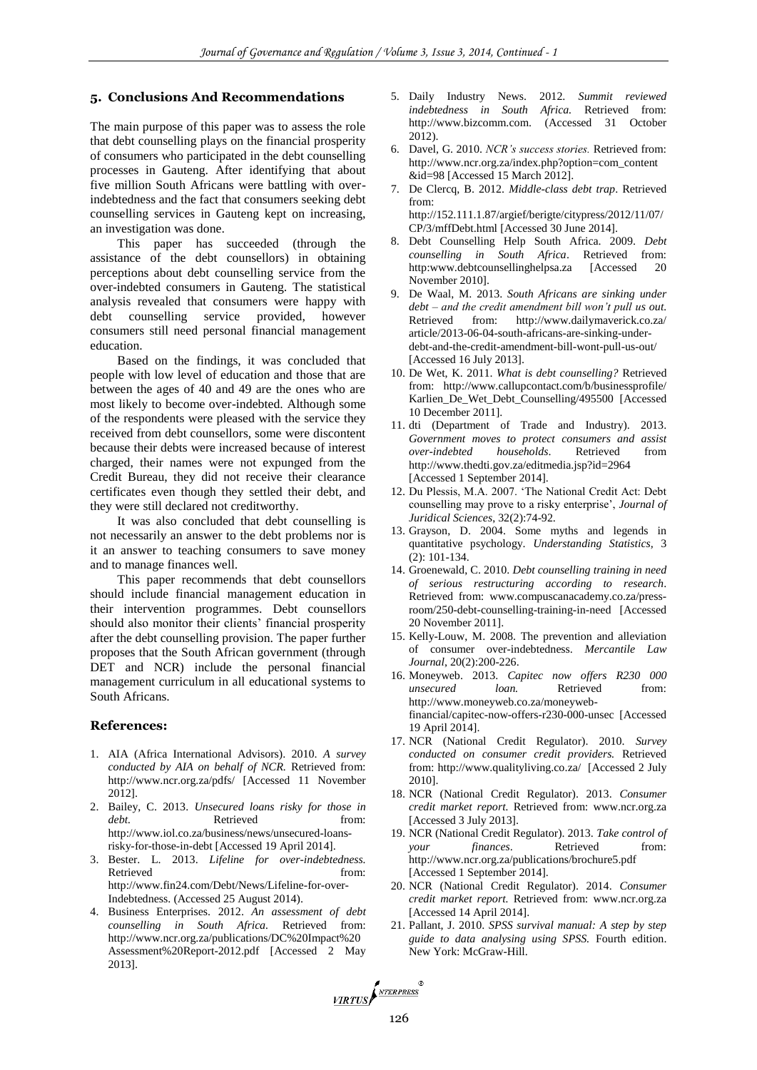#### **5. Conclusions And Recommendations**

The main purpose of this paper was to assess the role that debt counselling plays on the financial prosperity of consumers who participated in the debt counselling processes in Gauteng. After identifying that about five million South Africans were battling with overindebtedness and the fact that consumers seeking debt counselling services in Gauteng kept on increasing, an investigation was done.

This paper has succeeded (through the assistance of the debt counsellors) in obtaining perceptions about debt counselling service from the over-indebted consumers in Gauteng. The statistical analysis revealed that consumers were happy with debt counselling service provided, however consumers still need personal financial management education.

Based on the findings, it was concluded that people with low level of education and those that are between the ages of 40 and 49 are the ones who are most likely to become over-indebted. Although some of the respondents were pleased with the service they received from debt counsellors, some were discontent because their debts were increased because of interest charged, their names were not expunged from the Credit Bureau, they did not receive their clearance certificates even though they settled their debt, and they were still declared not creditworthy.

It was also concluded that debt counselling is not necessarily an answer to the debt problems nor is it an answer to teaching consumers to save money and to manage finances well.

This paper recommends that debt counsellors should include financial management education in their intervention programmes. Debt counsellors should also monitor their clients' financial prosperity after the debt counselling provision. The paper further proposes that the South African government (through DET and NCR) include the personal financial management curriculum in all educational systems to South Africans.

#### **References:**

- 1. AIA (Africa International Advisors). 2010. *A survey conducted by AIA on behalf of NCR.* Retrieved from: <http://www.ncr.org.za/pdfs/> [Accessed 11 November 2012].
- 2. Bailey, C. 2013. *Unsecured loans risky for those in debt.* Retrieved from: [http://www.iol.co.za/business/news/unsecured-loans](http://www.iol.co.za/business/news/unsecured-loans-risky-for-those-in-debt)[risky-for-those-in-debt](http://www.iol.co.za/business/news/unsecured-loans-risky-for-those-in-debt) [Accessed 19 April 2014].
- 3. Bester. L. 2013. *Lifeline for over-indebtedness.* Retrieved from: [http://www.fin24.com/Debt/News/Lifeline-for-over-](http://www.fin24.com/Debt/News/Lifeline-for-over-Indebtedness)[Indebtedness.](http://www.fin24.com/Debt/News/Lifeline-for-over-Indebtedness) (Accessed 25 August 2014).
- 4. Business Enterprises. 2012. *An assessment of debt counselling in South Africa.* Retrieved from: [http://www.ncr.org.za/publications/DC%20Impact%20](http://www.ncr.org.za/publications/DC%20Impact%20Assessment%20Report-2012.pdf) [Assessment%20Report-2012.pdf](http://www.ncr.org.za/publications/DC%20Impact%20Assessment%20Report-2012.pdf) [Accessed 2 May 2013].
- 5. Daily Industry News. 2012. *Summit reviewed indebtedness in South Africa.* Retrieved from: [http://www.bizcomm.com.](http://www.bizcomm.com/) (Accessed 31 October 2012).
- 6. Davel, G. 2010. *NCR's success stories.* Retrieved from: http://www.ncr.org.za/index.php?option=com\_content &id=98 [Accessed 15 March 2012].
- 7. De Clercq, B. 2012. *Middle-class debt trap*. Retrieved from: [http://152.111.1.87/argief/berigte/citypress/2012/11/07/](http://152.111.1.87/argief/berigte/citypress/2012/11/07/CP/3/mffDebt.html)
- [CP/3/mffDebt.html](http://152.111.1.87/argief/berigte/citypress/2012/11/07/CP/3/mffDebt.html) [Accessed 30 June 2014].
- 8. Debt Counselling Help South Africa. 2009. *Debt counselling in South Africa*. Retrieved from: http:www.debtcounsellinghelpsa.za [Accessed 20 November 2010].
- 9. De Waal, M. 2013. *South Africans are sinking under debt – and the credit amendment bill won't pull us out.* Retrieved from: http://www.dailymaverick.co.za/ article/2013-06-04-south-africans-are-sinking-underdebt-and-the-credit-amendment-bill-wont-pull-us-out/ [Accessed 16 July 2013].
- 10. De Wet, K. 2011. *What is debt counselling?* Retrieved from: http://www.callupcontact.com/b/businessprofile/ Karlien\_De\_Wet\_Debt\_Counselling/495500 [Accessed 10 December 2011].
- 11. dti (Department of Trade and Industry). 2013. *Government moves to protect consumers and assist over-indebted households*. Retrieved from <http://www.thedti.gov.za/editmedia.jsp?id=2964> [Accessed 1 September 2014].
- 12. Du Plessis, M.A. 2007. 'The National Credit Act: Debt counselling may prove to a risky enterprise', *Journal of Juridical Sciences*, 32(2):74-92.
- 13. Grayson, D. 2004. Some myths and legends in quantitative psychology. *Understanding Statistics,* 3 (2): 101-134.
- 14. Groenewald, C. 2010. *Debt counselling training in need of serious restructuring according to research*. Retrieved from: [www.compuscanacademy.co.za/press](http://www.compuscanacademy.co.za/press-room/250-debt-counselling-training-in-need)[room/250-debt-counselling-training-in-need](http://www.compuscanacademy.co.za/press-room/250-debt-counselling-training-in-need) [Accessed 20 November 2011].
- 15. Kelly-Louw, M. 2008. The prevention and alleviation of consumer over-indebtedness. *Mercantile Law Journal*, 20(2):200-226.
- 16. Moneyweb. 2013. *Capitec now offers R230 000 unsecured loan.* Retrieved from: [http://www.moneyweb.co.za/moneyweb](http://www.moneyweb.co.za/moneyweb-financial/capitec-now-offers-r230-000-unsec)[financial/capitec-now-offers-r230-000-unsec](http://www.moneyweb.co.za/moneyweb-financial/capitec-now-offers-r230-000-unsec) [Accessed 19 April 2014].
- 17. NCR (National Credit Regulator). 2010. *Survey conducted on consumer credit providers.* Retrieved from:<http://www.qualityliving.co.za/>[Accessed 2 July 2010].
- 18. NCR (National Credit Regulator). 2013. *Consumer credit market report.* Retrieved from: [www.ncr.org.za](http://www.ncr.org.za/) [Accessed 3 July 2013].
- 19. NCR (National Credit Regulator). 2013. *Take control of your finances*. Retrieved from: <http://www.ncr.org.za/publications/brochure5.pdf> [Accessed 1 September 2014].
- 20. NCR (National Credit Regulator). 2014. *Consumer credit market report.* Retrieved from: [www.ncr.org.za](http://www.ncr.org.za/) [Accessed 14 April 2014].
- 21. Pallant, J. 2010. *SPSS survival manual: A step by step guide to data analysing using SPSS.* Fourth edition. New York: McGraw-Hill.

VIRTUS